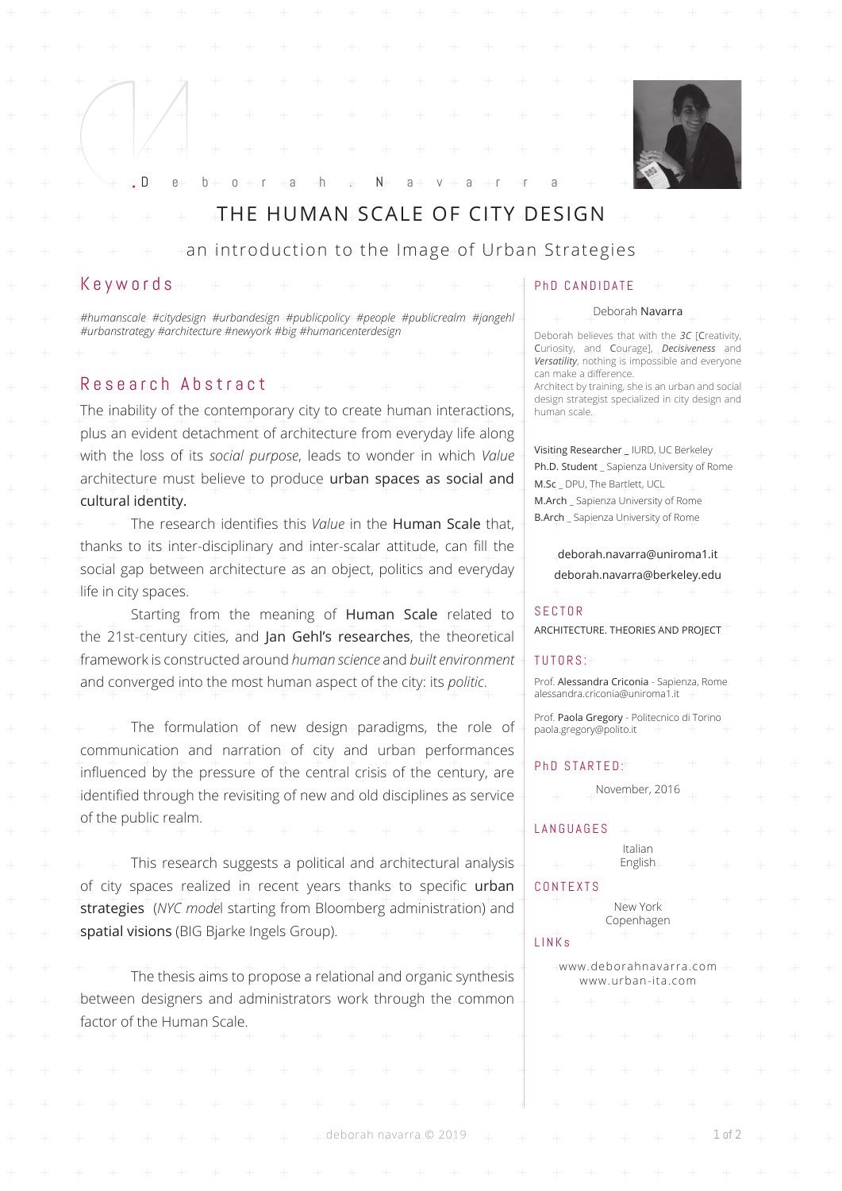

# THE HUMAN SCALE OF CITY DESIGN

D eborah . N avarra

an introduction to the Image of Urban Strategies

## Keywords

*#humanscale #citydesign #urbandesign #publicpolicy #people #publicrealm #jangehl #urbanstrategy #architecture #newyork #big #humancenterdesign*

# Research Abstract

The inability of the contemporary city to create human interactions, plus an evident detachment of architecture from everyday life along with the loss of its *social purpose*, leads to wonder in which *Value*  architecture must believe to produce urban spaces as social and cultural identity.

 The research identifies this *Value* in the Human Scale that, thanks to its inter-disciplinary and inter-scalar attitude, can fill the social gap between architecture as an object, politics and everyday life in city spaces.

Starting from the meaning of **Human Scale** related to the 21st-century cities, and Jan Gehl's researches, the theoretical framework is constructed around *human science* and *built environment* and converged into the most human aspect of the city: its *politic*.

The formulation of new design paradigms, the role of communication and narration of city and urban performances influenced by the pressure of the central crisis of the century, are identified through the revisiting of new and old disciplines as service of the public realm.

This research suggests a political and architectural analysis of city spaces realized in recent years thanks to specific urban strategies (*NYC mode*l starting from Bloomberg administration) and spatial visions (BIG Bjarke Ingels Group).

The thesis aims to propose a relational and organic synthesis between designers and administrators work through the common factor of the Human Scale.

### PhD CANDIDATE

#### Deborah Navarra

Deborah believes that with the *3C* [Creativity, Curiosity, and Courage], *Decisiveness* and *Versatility*, nothing is impossible and everyone can make a difference. Architect by training, she is an urban and social design strategist specialized in city design and human scale.

Visiting Researcher \_ IURD, UC Berkeley Ph.D. Student \_ Sapienza University of Rome M.Sc \_ DPU, The Bartlett, UCL M.Arch Sapienza University of Rome B.Arch \_ Sapienza University of Rome

deborah.navarra@uniroma1.it deborah.navarra@berkeley.edu

#### SECTOR

ARCHITECTURE. THEORIES AND PROJECT

#### TUTORS :

Prof. Alessandra Criconia - Sapienza, Rome alessandra.criconia@uniroma1.it

Prof. Paola Gregory - Politecnico di Torino paola.gregory@polito.it

PhD STARTED:

## November, 2016

LANGUAGES Italian English

### CONTEXTS

deborah navarra © 2019 1 of 2

|       |  | New York<br>Copenhagen $+$ $+$              |  |  |  |
|-------|--|---------------------------------------------|--|--|--|
| LINKs |  | $+$ $+$ $+$ $+$ $+$ $+$                     |  |  |  |
|       |  | www.deborahnavarra.com<br>www.urban-ita.com |  |  |  |
|       |  | + + + + + + +                               |  |  |  |
|       |  |                                             |  |  |  |